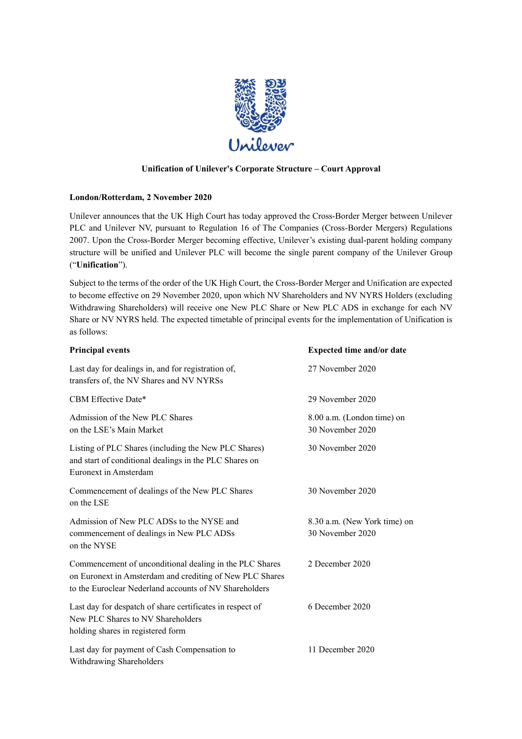

# **Unification of Unilever's Corporate Structure – Court Approval**

## **London/Rotterdam, 2 November 2020**

Unilever announces that the UK High Court has today approved the Cross-Border Merger between Unilever PLC and Unilever NV, pursuant to Regulation 16 of The Companies (Cross-Border Mergers) Regulations 2007. Upon the Cross-Border Merger becoming effective, Unilever's existing dual-parent holding company structure will be unified and Unilever PLC will become the single parent company of the Unilever Group ("**Unification**").

Subject to the terms of the order of the UK High Court, the Cross-Border Merger and Unification are expected to become effective on 29 November 2020, upon which NV Shareholders and NV NYRS Holders (excluding Withdrawing Shareholders) will receive one New PLC Share or New PLC ADS in exchange for each NV Share or NV NYRS held. The expected timetable of principal events for the implementation of Unification is as follows:

| <b>Principal events</b>                                                                                                                                                       | <b>Expected time and/or date</b>                 |
|-------------------------------------------------------------------------------------------------------------------------------------------------------------------------------|--------------------------------------------------|
| Last day for dealings in, and for registration of,<br>transfers of, the NV Shares and NV NYRSs                                                                                | 27 November 2020                                 |
| CBM Effective Date*                                                                                                                                                           | 29 November 2020                                 |
| Admission of the New PLC Shares<br>on the LSE's Main Market                                                                                                                   | 8.00 a.m. (London time) on<br>30 November 2020   |
| Listing of PLC Shares (including the New PLC Shares)<br>and start of conditional dealings in the PLC Shares on<br>Euronext in Amsterdam                                       | 30 November 2020                                 |
| Commencement of dealings of the New PLC Shares<br>on the LSE                                                                                                                  | 30 November 2020                                 |
| Admission of New PLC ADSs to the NYSE and<br>commencement of dealings in New PLC ADSs<br>on the NYSE                                                                          | 8.30 a.m. (New York time) on<br>30 November 2020 |
| Commencement of unconditional dealing in the PLC Shares<br>on Euronext in Amsterdam and crediting of New PLC Shares<br>to the Euroclear Nederland accounts of NV Shareholders | 2 December 2020                                  |
| Last day for despatch of share certificates in respect of<br>New PLC Shares to NV Shareholders<br>holding shares in registered form                                           | 6 December 2020                                  |
| Last day for payment of Cash Compensation to<br>Withdrawing Shareholders                                                                                                      | 11 December 2020                                 |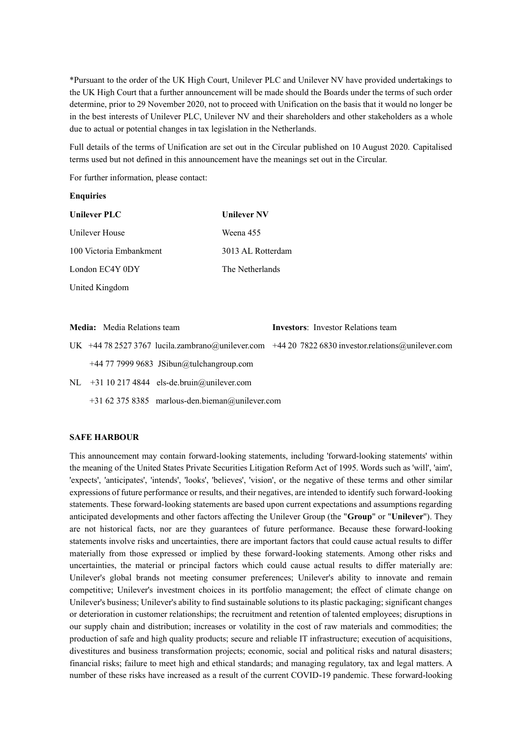\*Pursuant to the order of the UK High Court, Unilever PLC and Unilever NV have provided undertakings to the UK High Court that a further announcement will be made should the Boards under the terms of such order determine, prior to 29 November 2020, not to proceed with Unification on the basis that it would no longer be in the best interests of Unilever PLC, Unilever NV and their shareholders and other stakeholders as a whole due to actual or potential changes in tax legislation in the Netherlands.

Full details of the terms of Unification are set out in the Circular published on 10 August 2020. Capitalised terms used but not defined in this announcement have the meanings set out in the Circular.

For further information, please contact:

#### **Enquiries**

| <b>Unilever PLC</b>     | <b>Unilever NV</b> |
|-------------------------|--------------------|
| Unilever House          | Weena 455          |
| 100 Victoria Embankment | 3013 AL Rotterdam  |
| London EC4Y 0DY         | The Netherlands    |
| United Kingdom          |                    |

**Media:** Media Relations team **Investors**: Investor Relations team

UK +44 78 2527 3767 [lucila.zambrano@unilever.com](mailto:lucila.zambrano@unilever.com) +44 20 7822 683[0 investor.relations@unilever.com](mailto:investor.relations@unilever.com) +44 77 7999 9683 [JSibun@tulchangroup.com](mailto:JSibun@tulchangroup.com)

NL +31 10 217 4844 [els-de.bruin@unilever.com](mailto:els-de.bruin@unilever.com)

+31 62 375 8385 [marlous-den.bieman@unilever.com](mailto:marlous-den.bieman@unilever.com)

## **SAFE HARBOUR**

This announcement may contain forward-looking statements, including 'forward-looking statements' within the meaning of the United States Private Securities Litigation Reform Act of 1995. Words such as 'will', 'aim', 'expects', 'anticipates', 'intends', 'looks', 'believes', 'vision', or the negative of these terms and other similar expressions of future performance or results, and their negatives, are intended to identify such forward-looking statements. These forward-looking statements are based upon current expectations and assumptions regarding anticipated developments and other factors affecting the Unilever Group (the "**Group**" or "**Unilever**"). They are not historical facts, nor are they guarantees of future performance. Because these forward-looking statements involve risks and uncertainties, there are important factors that could cause actual results to differ materially from those expressed or implied by these forward-looking statements. Among other risks and uncertainties, the material or principal factors which could cause actual results to differ materially are: Unilever's global brands not meeting consumer preferences; Unilever's ability to innovate and remain competitive; Unilever's investment choices in its portfolio management; the effect of climate change on Unilever's business; Unilever's ability to find sustainable solutions to its plastic packaging; significant changes or deterioration in customer relationships; the recruitment and retention of talented employees; disruptions in our supply chain and distribution; increases or volatility in the cost of raw materials and commodities; the production of safe and high quality products; secure and reliable IT infrastructure; execution of acquisitions, divestitures and business transformation projects; economic, social and political risks and natural disasters; financial risks; failure to meet high and ethical standards; and managing regulatory, tax and legal matters. A number of these risks have increased as a result of the current COVID-19 pandemic. These forward-looking